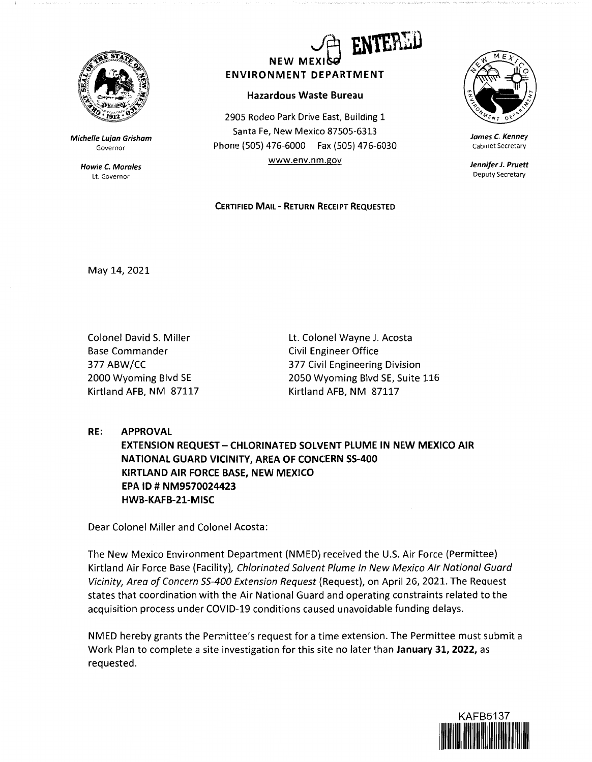

Michelle Lujan Grisham Governor

> Howie C. Morales Lt. Governor



**Hazardous Waste Bureau** 

2905 Rodeo Park Drive East, Building 1 Santa Fe, New Mexico 87505-6313 Phone(505)476-6000 Fax(505)476-6030 www.env.nm.gov

## **CERTIFIED MAIL** - **RETURN RECEIPT REQUESTED**



**James C. Kenney**  Cabinet Secretary

**Jennifer J. Pruett**  Deputy Secretary

May 14, 2021

Colonel David S. Miller Base Commander 377 ABW/CC 2000 Wyoming Blvd SE Kirtland AFB, NM 87117 Lt. Colonel Wayne J. Acosta Civil Engineer Office 377 Civil Engineering Division 2050 Wyoming Blvd SE, Suite 116 Kirtland AFB, NM 87117

**RE: APPROVAL** 

**EXTENSION REQUEST-CHLORINATED SOLVENT PLUME IN NEW MEXICO AIR NATIONAL GUARD VICINITY, AREA OF CONCERN SS-400 KIRTLAND AIR FORCE BASE, NEW MEXICO EPA ID# NM9570024423 HWB-KAFB-21-MISC** 

Dear Colonel Miller and Colonel Acosta:

The New Mexico Environment Department (NMED) received the U.S. Air Force (Permittee) Kirtland Air Force Base (Facility}, Chlorinated Solvent Plume In New Mexico Air National Guard Vicinity, Area of Concern 55-400 Extension Request (Request}, on April 26, 2021. The Request states that coordination with the Air National Guard and operating constraints related to the acquisition process under COVID-19 conditions caused unavoidable funding delays.

NMED hereby grants the Permittee's request for a time extension. The Permittee must submit a Work Plan to complete a site investigation for this site no later than **January 31, 2022,** as requested.